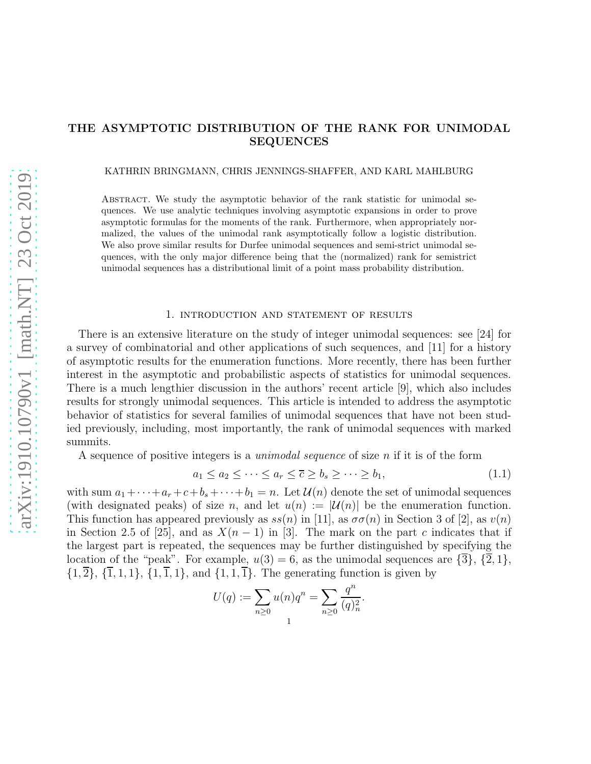# THE ASYMPTOTIC DISTRIBUTION OF THE RANK FOR UNIMODAL SEQUENCES

KATHRIN BRINGMANN, CHRIS JENNINGS-SHAFFER, AND KARL MAHLBURG

Abstract. We study the asymptotic behavior of the rank statistic for unimodal sequences. We use analytic techniques involving asymptotic expansions in order to prove asymptotic formulas for the moments of the rank. Furthermore, when appropriately normalized, the values of the unimodal rank asymptotically follow a logistic distribution. We also prove similar results for Durfee unimodal sequences and semi-strict unimodal sequences, with the only major difference being that the (normalized) rank for semistrict unimodal sequences has a distributional limit of a point mass probability distribution.

#### 1. introduction and statement of results

There is an extensive literature on the study of integer unimodal sequences: see [24] for a survey of combinatorial and other applications of such sequences, and [11] for a history of asymptotic results for the enumeration functions. More recently, there has been further interest in the asymptotic and probabilistic aspects of statistics for unimodal sequences. There is a much lengthier discussion in the authors' recent article [9], which also includes results for strongly unimodal sequences. This article is intended to address the asymptotic behavior of statistics for several families of unimodal sequences that have not been studied previously, including, most importantly, the rank of unimodal sequences with marked summits.

A sequence of positive integers is a *unimodal sequence* of size n if it is of the form

$$
a_1 \le a_2 \le \dots \le a_r \le \overline{c} \ge b_s \ge \dots \ge b_1,\tag{1.1}
$$

with sum  $a_1 + \cdots + a_r + c + b_s + \cdots + b_1 = n$ . Let  $\mathcal{U}(n)$  denote the set of unimodal sequences (with designated peaks) of size n, and let  $u(n) := |\mathcal{U}(n)|$  be the enumeration function. This function has appeared previously as  $ss(n)$  in [11], as  $\sigma\sigma(n)$  in Section 3 of [2], as  $v(n)$ in Section 2.5 of [25], and as  $X(n-1)$  in [3]. The mark on the part c indicates that if the largest part is repeated, the sequences may be further distinguished by specifying the location of the "peak". For example,  $u(3) = 6$ , as the unimodal sequences are  $\{3\}, \{2, 1\}$ ,  $\{1,\overline{2}\}, \{\overline{1},1,1\}, \{1,\overline{1},1\}, \text{ and } \{1,1,\overline{1}\}.$  The generating function is given by

$$
U(q) := \sum_{n\geq 0} u(n)q^n = \sum_{n\geq 0} \frac{q^n}{(q)_n^2}.
$$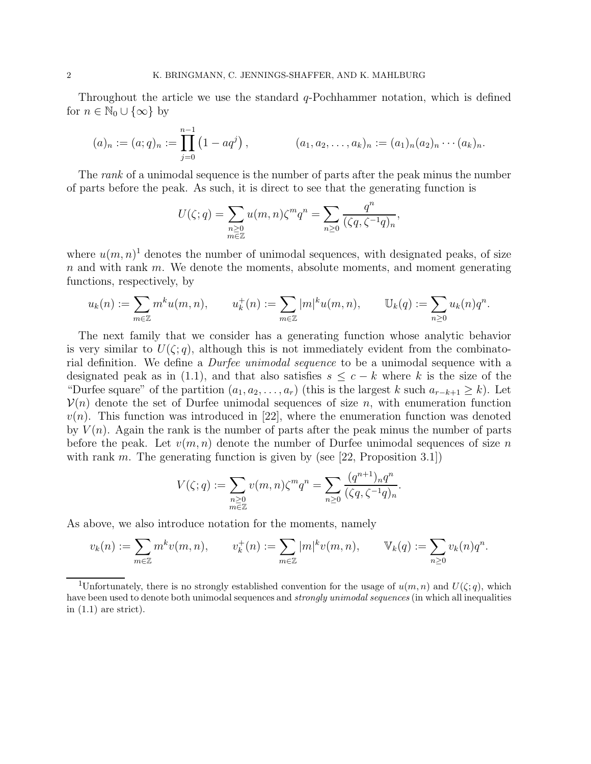Throughout the article we use the standard  $q$ -Pochhammer notation, which is defined for  $n \in \mathbb{N}_0 \cup \{\infty\}$  by

$$
(a)_n := (a;q)_n := \prod_{j=0}^{n-1} (1-aq^j), \qquad (a_1, a_2, \ldots, a_k)_n := (a_1)_n (a_2)_n \cdots (a_k)_n.
$$

The *rank* of a unimodal sequence is the number of parts after the peak minus the number of parts before the peak. As such, it is direct to see that the generating function is

$$
U(\zeta;q) = \sum_{\substack{n \geq 0 \\ m \in \mathbb{Z}}} u(m,n)\zeta^m q^n = \sum_{n \geq 0} \frac{q^n}{(\zeta q, \zeta^{-1} q)_n},
$$

where  $u(m, n)$ <sup>1</sup> denotes the number of unimodal sequences, with designated peaks, of size  $n$  and with rank  $m$ . We denote the moments, absolute moments, and moment generating functions, respectively, by

$$
u_k(n) := \sum_{m \in \mathbb{Z}} m^k u(m, n), \qquad u_k^+(n) := \sum_{m \in \mathbb{Z}} |m|^k u(m, n), \qquad \mathbb{U}_k(q) := \sum_{n \geq 0} u_k(n) q^n.
$$

The next family that we consider has a generating function whose analytic behavior is very similar to  $U(\zeta; q)$ , although this is not immediately evident from the combinatorial definition. We define a *Durfee unimodal sequence* to be a unimodal sequence with a designated peak as in (1.1), and that also satisfies  $s \leq c - k$  where k is the size of the "Durfee square" of the partition  $(a_1, a_2, \ldots, a_r)$  (this is the largest k such  $a_{r-k+1} \geq k$ ). Let  $\mathcal{V}(n)$  denote the set of Durfee unimodal sequences of size n, with enumeration function  $v(n)$ . This function was introduced in [22], where the enumeration function was denoted by  $V(n)$ . Again the rank is the number of parts after the peak minus the number of parts before the peak. Let  $v(m, n)$  denote the number of Durfee unimodal sequences of size n with rank m. The generating function is given by (see [22, Proposition 3.1])

$$
V(\zeta;q) := \sum_{\substack{n \geq 0 \\ m \in \mathbb{Z}}} v(m,n)\zeta^m q^n = \sum_{n \geq 0} \frac{(q^{n+1})_n q^n}{(\zeta q, \zeta^{-1} q)_n}.
$$

As above, we also introduce notation for the moments, namely

$$
v_k(n) := \sum_{m \in \mathbb{Z}} m^k v(m, n), \qquad v_k^+(n) := \sum_{m \in \mathbb{Z}} |m|^k v(m, n), \qquad \mathbb{V}_k(q) := \sum_{n \ge 0} v_k(n) q^n.
$$

<sup>&</sup>lt;sup>1</sup>Unfortunately, there is no strongly established convention for the usage of  $u(m, n)$  and  $U(\zeta; q)$ , which have been used to denote both unimodal sequences and *strongly unimodal sequences* (in which all inequalities in  $(1.1)$  are strict).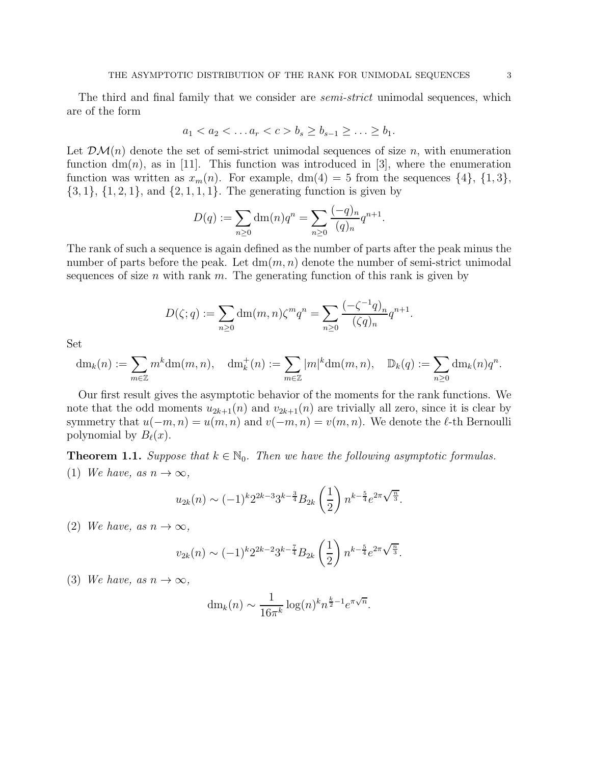The third and final family that we consider are *semi-strict* unimodal sequences, which are of the form

$$
a_1 < a_2 < \ldots a_r < c > b_s \ge b_{s-1} \ge \ldots \ge b_1.
$$

Let  $\mathcal{DM}(n)$  denote the set of semi-strict unimodal sequences of size n, with enumeration function  $dm(n)$ , as in [11]. This function was introduced in [3], where the enumeration function was written as  $x_m(n)$ . For example,  $dm(4) = 5$  from the sequences  $\{4\}$ ,  $\{1,3\}$ ,  $\{3, 1\}, \{1, 2, 1\}, \text{ and } \{2, 1, 1, 1\}.$  The generating function is given by

$$
D(q) := \sum_{n \ge 0} dm(n)q^{n} = \sum_{n \ge 0} \frac{(-q)_{n}}{(q)_{n}} q^{n+1}.
$$

The rank of such a sequence is again defined as the number of parts after the peak minus the number of parts before the peak. Let  $\dim(m, n)$  denote the number of semi-strict unimodal sequences of size n with rank m. The generating function of this rank is given by

$$
D(\zeta;q) := \sum_{n\geq 0} dm(m,n)\zeta^m q^n = \sum_{n\geq 0} \frac{(-\zeta^{-1}q)_n}{(\zeta q)_n} q^{n+1}.
$$

Set

$$
\mathrm{dm}_k(n) := \sum_{m \in \mathbb{Z}} m^k \mathrm{dm}(m, n), \quad \mathrm{dm}_k^+(n) := \sum_{m \in \mathbb{Z}} |m|^k \mathrm{dm}(m, n), \quad \mathbb{D}_k(q) := \sum_{n \ge 0} \mathrm{dm}_k(n) q^n.
$$

Our first result gives the asymptotic behavior of the moments for the rank functions. We note that the odd moments  $u_{2k+1}(n)$  and  $v_{2k+1}(n)$  are trivially all zero, since it is clear by symmetry that  $u(-m, n) = u(m, n)$  and  $v(-m, n) = v(m, n)$ . We denote the  $\ell$ -th Bernoulli polynomial by  $B_{\ell}(x)$ .

**Theorem 1.1.** Suppose that  $k \in \mathbb{N}_0$ . Then we have the following asymptotic formulas. (1) We have, as  $n \to \infty$ ,

$$
u_{2k}(n) \sim (-1)^k 2^{2k-3} 3^{k-\frac{3}{4}} B_{2k} \left(\frac{1}{2}\right) n^{k-\frac{5}{4}} e^{2\pi \sqrt{\frac{n}{3}}}.
$$

(2) We have, as  $n \to \infty$ ,

$$
v_{2k}(n) \sim (-1)^k 2^{2k-2} 3^{k-\frac{7}{4}} B_{2k} \left(\frac{1}{2}\right) n^{k-\frac{5}{4}} e^{2\pi \sqrt{\frac{n}{3}}}.
$$

(3) We have, as  $n \to \infty$ ,

$$
dm_k(n) \sim \frac{1}{16\pi^k} \log(n)^k n^{\frac{k}{2}-1} e^{\pi\sqrt{n}}.
$$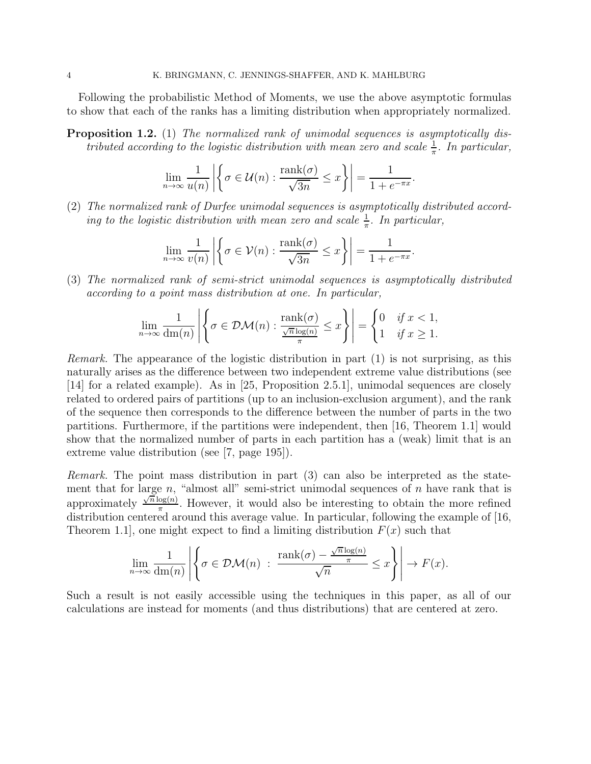Following the probabilistic Method of Moments, we use the above asymptotic formulas to show that each of the ranks has a limiting distribution when appropriately normalized.

**Proposition 1.2.** (1) The normalized rank of unimodal sequences is asymptotically distributed according to the logistic distribution with mean zero and scale  $\frac{1}{\pi}$ . In particular,

$$
\lim_{n \to \infty} \frac{1}{u(n)} \left| \left\{ \sigma \in \mathcal{U}(n) : \frac{\text{rank}(\sigma)}{\sqrt{3n}} \leq x \right\} \right| = \frac{1}{1 + e^{-\pi x}}.
$$

(2) The normalized rank of Durfee unimodal sequences is asymptotically distributed according to the logistic distribution with mean zero and scale  $\frac{1}{\pi}$ . In particular,

$$
\lim_{n \to \infty} \frac{1}{v(n)} \left| \left\{ \sigma \in \mathcal{V}(n) : \frac{\text{rank}(\sigma)}{\sqrt{3n}} \le x \right\} \right| = \frac{1}{1 + e^{-\pi x}}
$$

.

(3) The normalized rank of semi-strict unimodal sequences is asymptotically distributed according to a point mass distribution at one. In particular,

$$
\lim_{n \to \infty} \frac{1}{\dim(n)} \left| \left\{ \sigma \in \mathcal{DM}(n) : \frac{\text{rank}(\sigma)}{\frac{\sqrt{n}\log(n)}{\pi}} \le x \right\} \right| = \begin{cases} 0 & \text{if } x < 1, \\ 1 & \text{if } x \ge 1. \end{cases}
$$

Remark. The appearance of the logistic distribution in part (1) is not surprising, as this naturally arises as the difference between two independent extreme value distributions (see [14] for a related example). As in [25, Proposition 2.5.1], unimodal sequences are closely related to ordered pairs of partitions (up to an inclusion-exclusion argument), and the rank of the sequence then corresponds to the difference between the number of parts in the two partitions. Furthermore, if the partitions were independent, then [16, Theorem 1.1] would show that the normalized number of parts in each partition has a (weak) limit that is an extreme value distribution (see [7, page 195]).

Remark. The point mass distribution in part (3) can also be interpreted as the statement that for large n, "almost all" semi-strict unimodal sequences of n have rank that is approximately  $\frac{\sqrt{n} \log(n)}{\pi}$  $\frac{\log(n)}{\pi}$ . However, it would also be interesting to obtain the more refined distribution centered around this average value. In particular, following the example of [16, Theorem 1.1, one might expect to find a limiting distribution  $F(x)$  such that

$$
\lim_{n \to \infty} \frac{1}{\dim(n)} \left| \left\{ \sigma \in \mathcal{DM}(n) : \frac{\text{rank}(\sigma) - \frac{\sqrt{n} \log(n)}{\pi}}{\sqrt{n}} \leq x \right\} \right| \to F(x).
$$

Such a result is not easily accessible using the techniques in this paper, as all of our calculations are instead for moments (and thus distributions) that are centered at zero.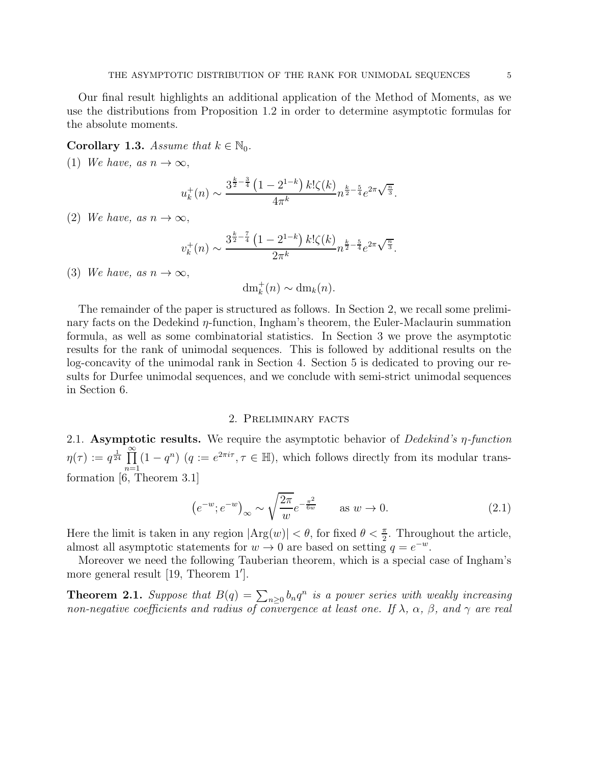Our final result highlights an additional application of the Method of Moments, as we use the distributions from Proposition 1.2 in order to determine asymptotic formulas for the absolute moments.

### Corollary 1.3. Assume that  $k \in \mathbb{N}_0$ .

(1) We have, as  $n \to \infty$ ,

$$
u_k^+(n) \sim \frac{3^{\frac{k}{2}-\frac{3}{4}} \left(1 - 2^{1-k}\right) k! \zeta(k)}{4\pi^k} n^{\frac{k}{2}-\frac{5}{4}} e^{2\pi \sqrt{\frac{n}{3}}}.
$$

(2) We have, as  $n \to \infty$ ,

$$
v_k^+(n) \sim \frac{3^{\frac{k}{2}-\frac{7}{4}} \left(1 - 2^{1-k}\right) k! \zeta(k)}{2\pi^k} n^{\frac{k}{2}-\frac{5}{4}} e^{2\pi \sqrt{\frac{n}{3}}}.
$$

(3) We have, as  $n \to \infty$ ,

 $dm_k^+(n) \sim dm_k(n).$ 

The remainder of the paper is structured as follows. In Section 2, we recall some preliminary facts on the Dedekind  $\eta$ -function, Ingham's theorem, the Euler-Maclaurin summation formula, as well as some combinatorial statistics. In Section 3 we prove the asymptotic results for the rank of unimodal sequences. This is followed by additional results on the log-concavity of the unimodal rank in Section 4. Section 5 is dedicated to proving our results for Durfee unimodal sequences, and we conclude with semi-strict unimodal sequences in Section 6.

### 2. Preliminary facts

2.1. Asymptotic results. We require the asymptotic behavior of Dedekind's  $\eta$ -function  $\eta(\tau) := q^{\frac{1}{24}} \, \prod^{\infty}$  $\prod_{n=1}^{\infty} (1 - q^n)$   $(q := e^{2\pi i \tau}, \tau \in \mathbb{H})$ , which follows directly from its modular transformation [6, Theorem 3.1]

$$
\left(e^{-w}; e^{-w}\right)_{\infty} \sim \sqrt{\frac{2\pi}{w}} e^{-\frac{\pi^2}{6w}} \qquad \text{as } w \to 0. \tag{2.1}
$$

Here the limit is taken in any region  $|\text{Arg}(w)| < \theta$ , for fixed  $\theta < \frac{\pi}{2}$ . Throughout the article, almost all asymptotic statements for  $w \to 0$  are based on setting  $q = e^{-w}$ .

Moreover we need the following Tauberian theorem, which is a special case of Ingham's more general result [19, Theorem 1′ ].

**Theorem 2.1.** Suppose that  $B(q) = \sum_{n\geq 0} b_n q^n$  is a power series with weakly increasing non-negative coefficients and radius of convergence at least one. If  $\lambda$ ,  $\alpha$ ,  $\beta$ , and  $\gamma$  are real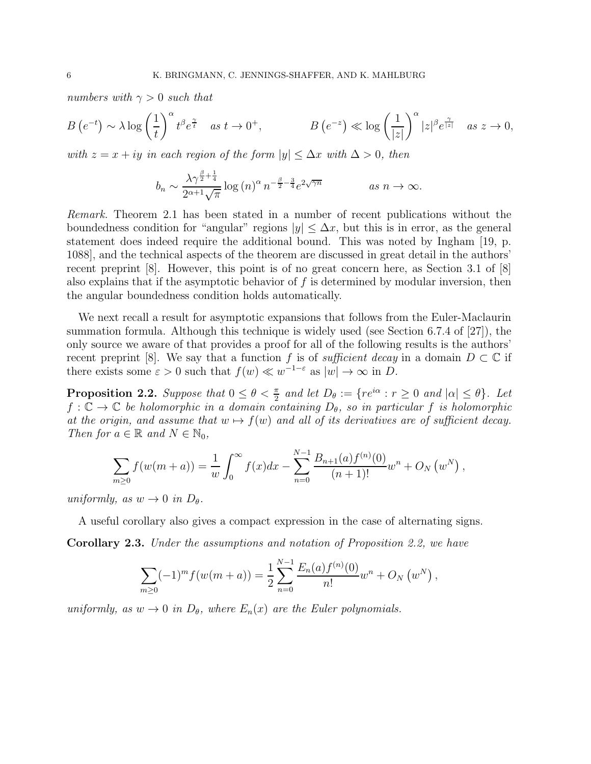numbers with  $\gamma > 0$  such that

$$
B\left(e^{-t}\right) \sim \lambda \log \left(\frac{1}{t}\right)^{\alpha} t^{\beta} e^{\frac{\gamma}{t}} \quad \text{as } t \to 0^{+}, \qquad B\left(e^{-z}\right) \ll \log \left(\frac{1}{|z|}\right)^{\alpha} |z|^{\beta} e^{\frac{\gamma}{|z|}} \quad \text{as } z \to 0,
$$

with  $z = x + iy$  in each region of the form  $|y| \leq \Delta x$  with  $\Delta > 0$ , then

$$
b_n \sim \frac{\lambda \gamma^{\frac{\beta}{2} + \frac{1}{4}}}{2^{\alpha + 1} \sqrt{\pi}} \log(n)^{\alpha} n^{-\frac{\beta}{2} - \frac{3}{4}} e^{2\sqrt{\gamma n}} \qquad \text{as } n \to \infty.
$$

Remark. Theorem 2.1 has been stated in a number of recent publications without the boundedness condition for "angular" regions  $|y| \leq \Delta x$ , but this is in error, as the general statement does indeed require the additional bound. This was noted by Ingham [19, p. 1088], and the technical aspects of the theorem are discussed in great detail in the authors' recent preprint [8]. However, this point is of no great concern here, as Section 3.1 of [8] also explains that if the asymptotic behavior of  $f$  is determined by modular inversion, then the angular boundedness condition holds automatically.

We next recall a result for asymptotic expansions that follows from the Euler-Maclaurin summation formula. Although this technique is widely used (see Section 6.7.4 of [27]), the only source we aware of that provides a proof for all of the following results is the authors' recent preprint [8]. We say that a function f is of sufficient decay in a domain  $D \subset \mathbb{C}$  if there exists some  $\varepsilon > 0$  such that  $f(w) \ll w^{-1-\varepsilon}$  as  $|w| \to \infty$  in D.

**Proposition 2.2.** Suppose that  $0 \le \theta < \frac{\pi}{2}$  and let  $D_{\theta} := \{re^{i\alpha} : r \ge 0 \text{ and } |\alpha| \le \theta\}$ . Let  $f: \mathbb{C} \to \mathbb{C}$  be holomorphic in a domain containing  $D_{\theta}$ , so in particular f is holomorphic at the origin, and assume that  $w \mapsto f(w)$  and all of its derivatives are of sufficient decay. Then for  $a \in \mathbb{R}$  and  $N \in \mathbb{N}_0$ ,

$$
\sum_{m\geq 0} f(w(m+a)) = \frac{1}{w} \int_0^{\infty} f(x) dx - \sum_{n=0}^{N-1} \frac{B_{n+1}(a) f^{(n)}(0)}{(n+1)!} w^n + O_N(w^N),
$$

uniformly, as  $w \to 0$  in  $D_{\theta}$ .

A useful corollary also gives a compact expression in the case of alternating signs. Corollary 2.3. Under the assumptions and notation of Proposition 2.2, we have

$$
\sum_{m\geq 0} (-1)^m f(w(m+a)) = \frac{1}{2} \sum_{n=0}^{N-1} \frac{E_n(a) f^{(n)}(0)}{n!} w^n + O_N(w^N),
$$

uniformly, as  $w \to 0$  in  $D_{\theta}$ , where  $E_n(x)$  are the Euler polynomials.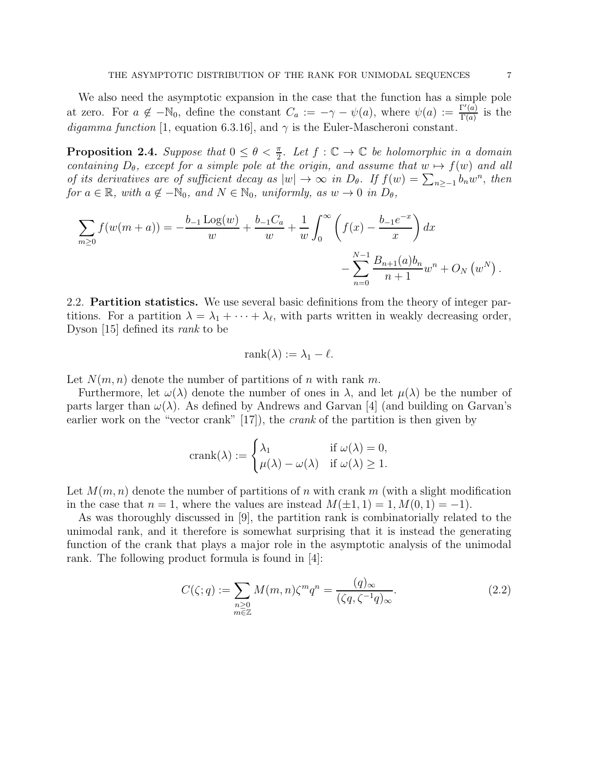We also need the asymptotic expansion in the case that the function has a simple pole at zero. For  $a \notin -\mathbb{N}_0$ , define the constant  $C_a := -\gamma - \psi(a)$ , where  $\psi(a) := \frac{\Gamma'(a)}{\Gamma(a)}$  $\frac{\Gamma(a)}{\Gamma(a)}$  is the digamma function [1, equation 6.3.16], and  $\gamma$  is the Euler-Mascheroni constant.

**Proposition 2.4.** Suppose that  $0 \le \theta < \frac{\pi}{2}$ . Let  $f : \mathbb{C} \to \mathbb{C}$  be holomorphic in a domain containing  $D_{\theta}$ , except for a simple pole at the origin, and assume that  $w \mapsto f(w)$  and all of its derivatives are of sufficient decay as  $|w| \to \infty$  in  $D_\theta$ . If  $f(w) = \sum_{n \ge -1} b_n w^n$ , then for  $a \in \mathbb{R}$ , with  $a \notin -\mathbb{N}_0$ , and  $N \in \mathbb{N}_0$ , uniformly, as  $w \to 0$  in  $D_\theta$ ,

$$
\sum_{m\geq 0} f(w(m+a)) = -\frac{b_{-1} \operatorname{Log}(w)}{w} + \frac{b_{-1} C_a}{w} + \frac{1}{w} \int_0^{\infty} \left( f(x) - \frac{b_{-1} e^{-x}}{x} \right) dx - \sum_{n=0}^{N-1} \frac{B_{n+1}(a) b_n}{n+1} w^n + O_N(w^N).
$$

2.2. Partition statistics. We use several basic definitions from the theory of integer partitions. For a partition  $\lambda = \lambda_1 + \cdots + \lambda_\ell$ , with parts written in weakly decreasing order, Dyson [15] defined its rank to be

$$
rank(\lambda) := \lambda_1 - \ell.
$$

Let  $N(m, n)$  denote the number of partitions of n with rank m.

Furthermore, let  $\omega(\lambda)$  denote the number of ones in  $\lambda$ , and let  $\mu(\lambda)$  be the number of parts larger than  $\omega(\lambda)$ . As defined by Andrews and Garvan [4] (and building on Garvan's earlier work on the "vector crank" [17]), the *crank* of the partition is then given by

$$
crank(\lambda) := \begin{cases} \lambda_1 & \text{if } \omega(\lambda) = 0, \\ \mu(\lambda) - \omega(\lambda) & \text{if } \omega(\lambda) \ge 1. \end{cases}
$$

Let  $M(m, n)$  denote the number of partitions of n with crank m (with a slight modification in the case that  $n = 1$ , where the values are instead  $M(\pm 1, 1) = 1, M(0, 1) = -1$ .

As was thoroughly discussed in [9], the partition rank is combinatorially related to the unimodal rank, and it therefore is somewhat surprising that it is instead the generating function of the crank that plays a major role in the asymptotic analysis of the unimodal rank. The following product formula is found in [4]:

$$
C(\zeta;q) := \sum_{\substack{n \geq 0 \\ m \in \mathbb{Z}}} M(m,n)\zeta^m q^n = \frac{(q)_{\infty}}{(\zeta q, \zeta^{-1}q)_{\infty}}.
$$
\n(2.2)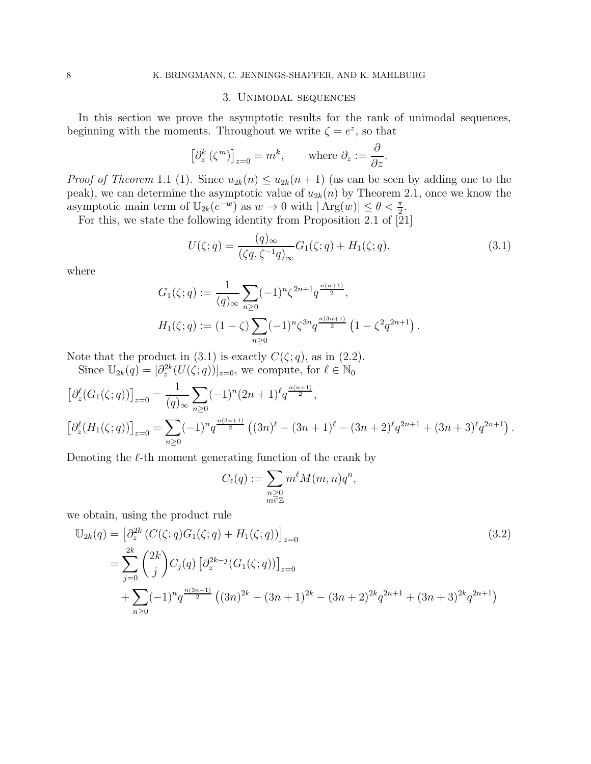### 3. Unimodal sequences

In this section we prove the asymptotic results for the rank of unimodal sequences, beginning with the moments. Throughout we write  $\zeta = e^z$ , so that

$$
\left[\partial_z^k(\zeta^m)\right]_{z=0} = m^k, \qquad \text{where } \partial_z := \frac{\partial}{\partial z}.
$$

*Proof of Theorem* 1.1 (1). Since  $u_{2k}(n) \leq u_{2k}(n+1)$  (as can be seen by adding one to the peak), we can determine the asymptotic value of  $u_{2k}(n)$  by Theorem 2.1, once we know the asymptotic main term of  $\mathbb{U}_{2k}(e^{-w})$  as  $w \to 0$  with  $|\operatorname{Arg}(w)| \leq \theta < \frac{\pi}{2}$ .

For this, we state the following identity from Proposition 2.1 of [21]

$$
U(\zeta;q) = \frac{(q)_{\infty}}{(\zeta q, \zeta^{-1} q)_{\infty}} G_1(\zeta;q) + H_1(\zeta;q),
$$
\n(3.1)

where

$$
G_1(\zeta;q) := \frac{1}{(q)_{\infty}} \sum_{n\geq 0} (-1)^n \zeta^{2n+1} q^{\frac{n(n+1)}{2}},
$$
  

$$
H_1(\zeta;q) := (1-\zeta) \sum_{n\geq 0} (-1)^n \zeta^{3n} q^{\frac{n(3n+1)}{2}} \left(1 - \zeta^2 q^{2n+1}\right).
$$

Note that the product in (3.1) is exactly  $C(\zeta; q)$ , as in (2.2).

Since  $\mathbb{U}_{2k}(q) = [\partial_z^{2k}(U(\zeta; q))]_{z=0}$ , we compute, for  $\ell \in \mathbb{N}_0$ 

$$
\begin{aligned} \left[\partial_z^{\ell}(G_1(\zeta;q))\right]_{z=0} &= \frac{1}{(q)_{\infty}} \sum_{n\geq 0} (-1)^n (2n+1)^{\ell} q^{\frac{n(n+1)}{2}},\\ \left[\partial_z^{\ell}(H_1(\zeta;q))\right]_{z=0} &= \sum_{n\geq 0} (-1)^n q^{\frac{n(3n+1)}{2}} \left( (3n)^{\ell} - (3n+1)^{\ell} - (3n+2)^{\ell} q^{2n+1} + (3n+3)^{\ell} q^{2n+1} \right). \end{aligned}
$$

Denoting the  $\ell$ -th moment generating function of the crank by

$$
C_{\ell}(q) := \sum_{\substack{n \geq 0 \\ m \in \mathbb{Z}}} m^{\ell} M(m, n) q^n,
$$

we obtain, using the product rule

$$
\mathbb{U}_{2k}(q) = \left[\partial_z^{2k} \left(C(\zeta; q)G_1(\zeta; q) + H_1(\zeta; q)\right)\right]_{z=0}
$$
\n
$$
= \sum_{j=0}^{2k} {2k \choose j} C_j(q) \left[\partial_z^{2k-j} (G_1(\zeta; q))\right]_{z=0}
$$
\n
$$
+ \sum_{n\geq 0} (-1)^n q^{\frac{n(3n+1)}{2}} \left((3n)^{2k} - (3n+1)^{2k} - (3n+2)^{2k} q^{2n+1} + (3n+3)^{2k} q^{2n+1}\right)
$$
\n(3.2)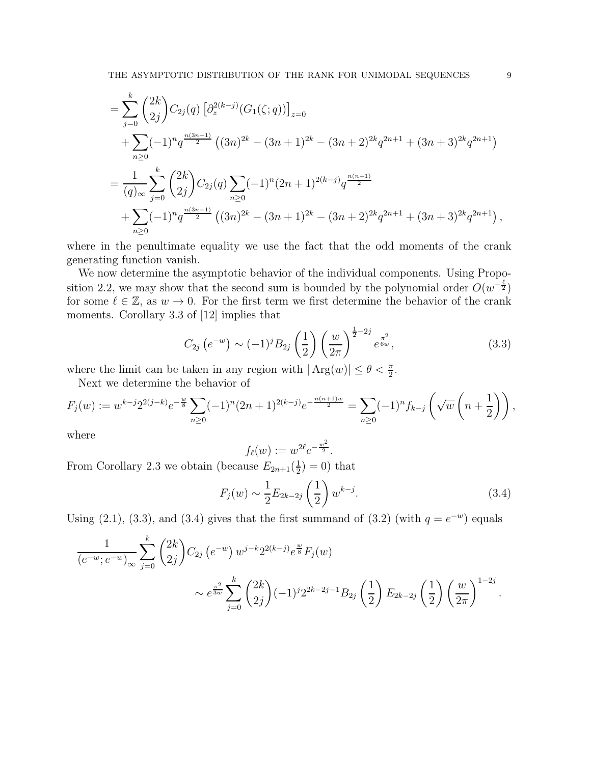$$
= \sum_{j=0}^{k} {2k \choose 2j} C_{2j}(q) \left[ \partial_z^{2(k-j)}(G_1(\zeta;q)) \right]_{z=0}
$$
  
+ 
$$
\sum_{n\geq 0} (-1)^n q^{\frac{n(3n+1)}{2}} ((3n)^{2k} - (3n+1)^{2k} - (3n+2)^{2k} q^{2n+1} + (3n+3)^{2k} q^{2n+1})
$$
  
= 
$$
\frac{1}{(q)_{\infty}} \sum_{j=0}^{k} {2k \choose 2j} C_{2j}(q) \sum_{n\geq 0} (-1)^n (2n+1)^{2(k-j)} q^{\frac{n(n+1)}{2}}
$$
  
+ 
$$
\sum_{n\geq 0} (-1)^n q^{\frac{n(3n+1)}{2}} ((3n)^{2k} - (3n+1)^{2k} - (3n+2)^{2k} q^{2n+1} + (3n+3)^{2k} q^{2n+1}),
$$

where in the penultimate equality we use the fact that the odd moments of the crank generating function vanish.

We now determine the asymptotic behavior of the individual components. Using Proposition 2.2, we may show that the second sum is bounded by the polynomial order  $O(w^{-\frac{\ell}{2}})$ for some  $\ell \in \mathbb{Z}$ , as  $w \to 0$ . For the first term we first determine the behavior of the crank moments. Corollary 3.3 of [12] implies that

$$
C_{2j}\left(e^{-w}\right) \sim (-1)^j B_{2j}\left(\frac{1}{2}\right) \left(\frac{w}{2\pi}\right)^{\frac{1}{2}-2j} e^{\frac{\pi^2}{6w}},\tag{3.3}
$$

where the limit can be taken in any region with  $|\text{Arg}(w)| \leq \theta < \frac{\pi}{2}$ .

Next we determine the behavior of

$$
F_j(w) := w^{k-j} 2^{2(j-k)} e^{-\frac{w}{8}} \sum_{n \ge 0} (-1)^n (2n+1)^{2(k-j)} e^{-\frac{n(n+1)w}{2}} = \sum_{n \ge 0} (-1)^n f_{k-j} \left(\sqrt{w} \left(n + \frac{1}{2}\right)\right),
$$

where

$$
f_{\ell}(w):=w^{2\ell}e^{-\frac{w^2}{2}}.
$$

From Corollary 2.3 we obtain (because  $E_{2n+1}(\frac{1}{2})$  $(\frac{1}{2})$  = 0) that

$$
F_j(w) \sim \frac{1}{2} E_{2k-2j} \left(\frac{1}{2}\right) w^{k-j}.
$$
\n(3.4)

Using (2.1), (3.3), and (3.4) gives that the first summand of (3.2) (with  $q = e^{-w}$ ) equals

$$
\frac{1}{(e^{-w}; e^{-w})_{\infty}} \sum_{j=0}^{k} {2k \choose 2j} C_{2j} (e^{-w}) w^{j-k} 2^{2(k-j)} e^{\frac{w}{8}} F_j(w)
$$
  
 
$$
\sim e^{\frac{\pi^2}{3w}} \sum_{j=0}^{k} {2k \choose 2j} (-1)^j 2^{2k-2j-1} B_{2j} (\frac{1}{2}) E_{2k-2j} (\frac{1}{2}) (\frac{w}{2\pi})^{1-2j}.
$$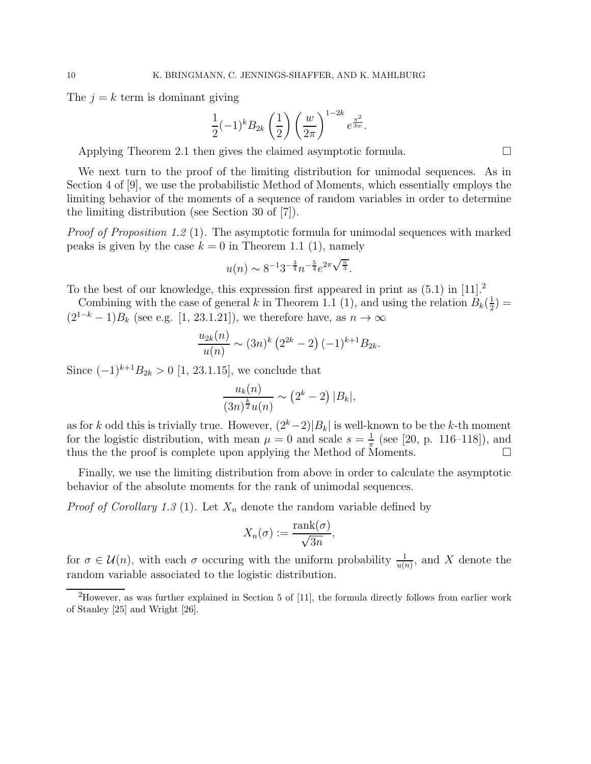The  $j = k$  term is dominant giving

$$
\frac{1}{2}(-1)^{k}B_{2k}\left(\frac{1}{2}\right)\left(\frac{w}{2\pi}\right)^{1-2k}e^{\frac{\pi^{2}}{3w}}.
$$

Applying Theorem 2.1 then gives the claimed asymptotic formula.

We next turn to the proof of the limiting distribution for unimodal sequences. As in Section 4 of [9], we use the probabilistic Method of Moments, which essentially employs the limiting behavior of the moments of a sequence of random variables in order to determine the limiting distribution (see Section 30 of [7]).

Proof of Proposition 1.2 (1). The asymptotic formula for unimodal sequences with marked peaks is given by the case  $k = 0$  in Theorem 1.1 (1), namely

$$
u(n) \sim 8^{-1} 3^{-\frac{3}{4}} n^{-\frac{5}{4}} e^{2\pi \sqrt{\frac{n}{3}}}.
$$

To the best of our knowledge, this expression first appeared in print as  $(5.1)$  in  $[11].<sup>2</sup>$ 

Combining with the case of general k in Theorem 1.1 (1), and using the relation  $B_k(\frac{1}{2})$  $(\frac{1}{2}) =$  $(2^{1-k}-1)B_k$  (see e.g. [1, 23.1.21]), we therefore have, as  $n \to \infty$ 

$$
\frac{u_{2k}(n)}{u(n)} \sim (3n)^k (2^{2k} - 2) (-1)^{k+1} B_{2k}.
$$

Since  $(-1)^{k+1}B_{2k} > 0$  [1, 23.1.15], we conclude that

$$
\frac{u_k(n)}{(3n)^{\frac{k}{2}}u(n)} \sim (2^k - 2) |B_k|,
$$

as for k odd this is trivially true. However,  $(2<sup>k</sup> - 2)|B<sub>k</sub>|$  is well-known to be the k-th moment for the logistic distribution, with mean  $\mu = 0$  and scale  $s = \frac{1}{\pi}$  $\frac{1}{\pi}$  (see [20, p. 116–118]), and thus the the proof is complete upon applying the Method of Moments.

Finally, we use the limiting distribution from above in order to calculate the asymptotic behavior of the absolute moments for the rank of unimodal sequences.

*Proof of Corollary 1.3* (1). Let  $X_n$  denote the random variable defined by

$$
X_n(\sigma) := \frac{\text{rank}(\sigma)}{\sqrt{3n}},
$$

for  $\sigma \in \mathcal{U}(n)$ , with each  $\sigma$  occuring with the uniform probability  $\frac{1}{u(n)}$ , and X denote the random variable associated to the logistic distribution.

<sup>&</sup>lt;sup>2</sup>However, as was further explained in Section 5 of [11], the formula directly follows from earlier work of Stanley [25] and Wright [26].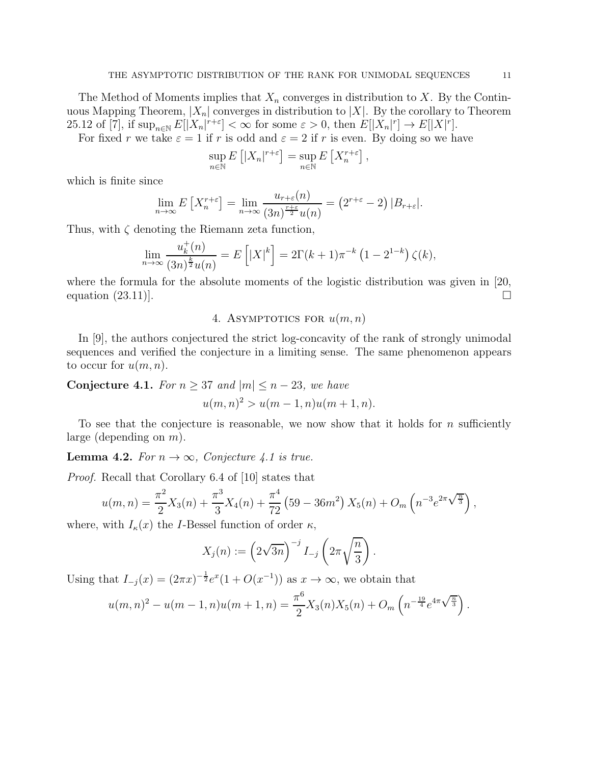The Method of Moments implies that  $X_n$  converges in distribution to X. By the Continuous Mapping Theorem,  $|X_n|$  converges in distribution to  $|X|$ . By the corollary to Theorem 25.12 of [7], if  $\sup_{n\in\mathbb{N}} E[|X_n|^{r+\varepsilon}] < \infty$  for some  $\varepsilon > 0$ , then  $E[|X_n|^r] \to E[|X|^r]$ .

For fixed r we take  $\varepsilon = 1$  if r is odd and  $\varepsilon = 2$  if r is even. By doing so we have

$$
\sup_{n \in \mathbb{N}} E\left[ |X_n|^{r+\varepsilon} \right] = \sup_{n \in \mathbb{N}} E\left[ X_n^{r+\varepsilon} \right],
$$

which is finite since

$$
\lim_{n \to \infty} E\left[X_n^{r+\varepsilon}\right] = \lim_{n \to \infty} \frac{u_{r+\varepsilon}(n)}{(3n)^{\frac{r+\varepsilon}{2}} u(n)} = \left(2^{r+\varepsilon} - 2\right) |B_{r+\varepsilon}|.
$$

Thus, with  $\zeta$  denoting the Riemann zeta function,

$$
\lim_{n \to \infty} \frac{u_k^+(n)}{(3n)^{\frac{k}{2}} u(n)} = E\left[|X|^k\right] = 2\Gamma(k+1)\pi^{-k} \left(1 - 2^{1-k}\right)\zeta(k),
$$

where the formula for the absolute moments of the logistic distribution was given in [20, equation  $(23.11)$ .

## 4. ASYMPTOTICS FOR  $u(m, n)$

In [9], the authors conjectured the strict log-concavity of the rank of strongly unimodal sequences and verified the conjecture in a limiting sense. The same phenomenon appears to occur for  $u(m, n)$ .

Conjecture 4.1. For  $n \geq 37$  and  $|m| \leq n-23$ , we have  $u(m, n)^2 > u(m-1, n)u(m+1, n).$ 

To see that the conjecture is reasonable, we now show that it holds for  $n$  sufficiently large (depending on  $m$ ).

**Lemma 4.2.** For  $n \to \infty$ , Conjecture 4.1 is true.

Proof. Recall that Corollary 6.4 of [10] states that

$$
u(m,n) = \frac{\pi^2}{2}X_3(n) + \frac{\pi^3}{3}X_4(n) + \frac{\pi^4}{72} (59 - 36m^2) X_5(n) + O_m\left(n^{-3}e^{2\pi\sqrt{\frac{n}{3}}}\right),
$$

where, with  $I_{\kappa}(x)$  the *I*-Bessel function of order  $\kappa$ ,

$$
X_j(n) := \left(2\sqrt{3n}\right)^{-j} I_{-j} \left(2\pi \sqrt{\frac{n}{3}}\right).
$$

Using that  $I_{-j}(x) = (2\pi x)^{-\frac{1}{2}} e^x (1 + O(x^{-1}))$  as  $x \to \infty$ , we obtain that

$$
u(m,n)^{2} - u(m-1,n)u(m+1,n) = \frac{\pi^{6}}{2}X_{3}(n)X_{5}(n) + O_{m}\left(n^{-\frac{19}{4}}e^{4\pi\sqrt{\frac{n}{3}}}\right).
$$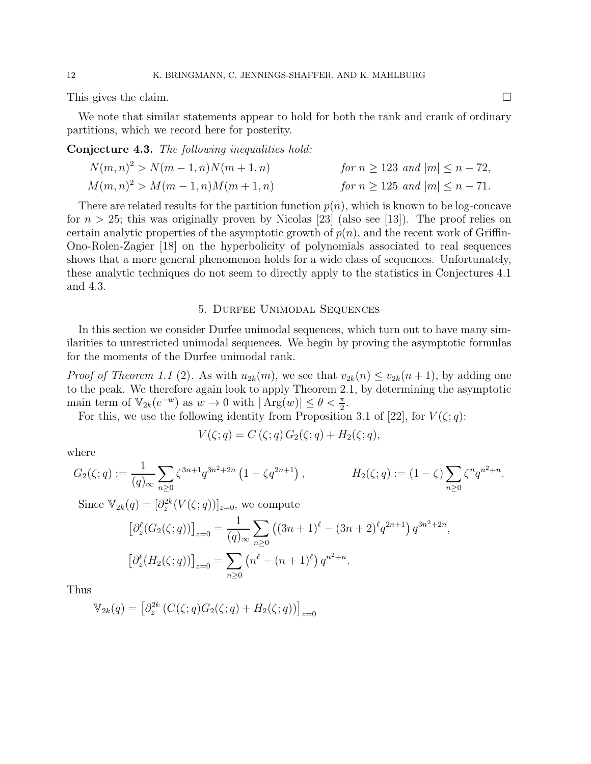This gives the claim.

We note that similar statements appear to hold for both the rank and crank of ordinary partitions, which we record here for posterity.

Conjecture 4.3. The following inequalities hold:

$$
N(m, n)^{2} > N(m - 1, n)N(m + 1, n)
$$
 for  $n \ge 123$  and  $|m| \le n - 72$ ,  
\n
$$
M(m, n)^{2} > M(m - 1, n)M(m + 1, n)
$$
 for  $n \ge 125$  and  $|m| \le n - 71$ .

There are related results for the partition function  $p(n)$ , which is known to be log-concave for  $n > 25$ ; this was originally proven by Nicolas [23] (also see [13]). The proof relies on certain analytic properties of the asymptotic growth of  $p(n)$ , and the recent work of Griffin-Ono-Rolen-Zagier [18] on the hyperbolicity of polynomials associated to real sequences shows that a more general phenomenon holds for a wide class of sequences. Unfortunately, these analytic techniques do not seem to directly apply to the statistics in Conjectures 4.1 and 4.3.

#### 5. Durfee Unimodal Sequences

In this section we consider Durfee unimodal sequences, which turn out to have many similarities to unrestricted unimodal sequences. We begin by proving the asymptotic formulas for the moments of the Durfee unimodal rank.

*Proof of Theorem 1.1* (2). As with  $u_{2k}(m)$ , we see that  $v_{2k}(n) \le v_{2k}(n+1)$ , by adding one to the peak. We therefore again look to apply Theorem 2.1, by determining the asymptotic main term of  $\mathbb{V}_{2k}(e^{-w})$  as  $w \to 0$  with  $|\operatorname{Arg}(w)| \leq \theta < \frac{\pi}{2}$ .

For this, we use the following identity from Proposition 3.1 of [22], for  $V(\zeta;q)$ :

$$
V(\zeta;q) = C(\zeta;q) G_2(\zeta;q) + H_2(\zeta;q),
$$

where

$$
G_2(\zeta;q) := \frac{1}{(q)_{\infty}} \sum_{n \ge 0} \zeta^{3n+1} q^{3n^2+2n} \left(1 - \zeta q^{2n+1}\right), \qquad H_2(\zeta;q) := (1-\zeta) \sum_{n \ge 0} \zeta^n q^{n^2+n}.
$$

Since  $\mathbb{V}_{2k}(q) = [\partial_z^{2k}(V(\zeta; q))]_{z=0}$ , we compute

$$
\left[\partial_z^{\ell}(G_2(\zeta;q))\right]_{z=0} = \frac{1}{(q)_{\infty}} \sum_{n\geq 0} \left((3n+1)^{\ell} - (3n+2)^{\ell} q^{2n+1}\right) q^{3n^2+2n},
$$

$$
\left[\partial_z^{\ell}(H_2(\zeta;q))\right]_{z=0} = \sum_{n\geq 0} \left(n^{\ell} - (n+1)^{\ell}\right) q^{n^2+n}.
$$

Thus

$$
\mathbb{V}_{2k}(q) = \left[\partial_z^{2k} \left(C(\zeta; q) G_2(\zeta; q) + H_2(\zeta; q)\right)\right]_{z=0}
$$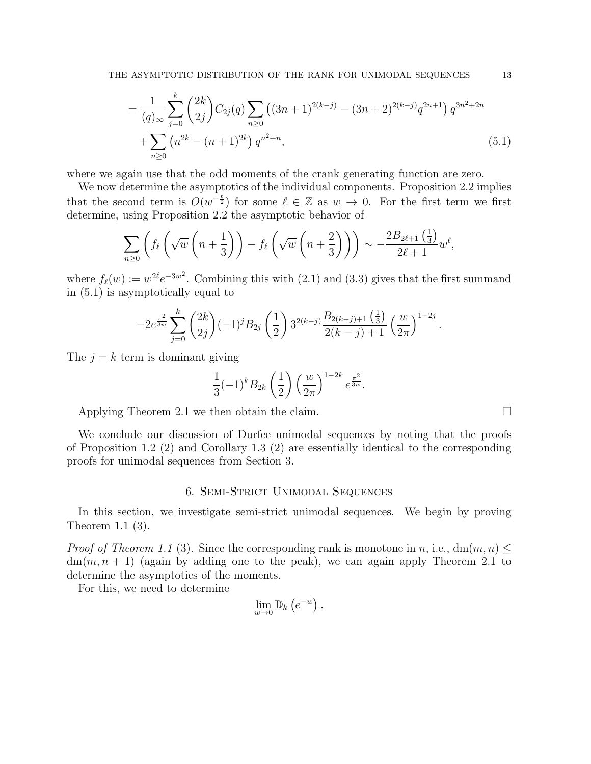$$
= \frac{1}{(q)_{\infty}} \sum_{j=0}^{k} {2k \choose 2j} C_{2j}(q) \sum_{n \ge 0} ((3n+1)^{2(k-j)} - (3n+2)^{2(k-j)} q^{2n+1}) q^{3n^2+2n} + \sum_{n \ge 0} (n^{2k} - (n+1)^{2k}) q^{n^2+n},
$$
(5.1)

where we again use that the odd moments of the crank generating function are zero.

We now determine the asymptotics of the individual components. Proposition 2.2 implies that the second term is  $O(w^{-\frac{\ell}{2}})$  for some  $\ell \in \mathbb{Z}$  as  $w \to 0$ . For the first term we first determine, using Proposition 2.2 the asymptotic behavior of

$$
\sum_{n\geq 0} \left( f_{\ell} \left( \sqrt{w} \left( n + \frac{1}{3} \right) \right) - f_{\ell} \left( \sqrt{w} \left( n + \frac{2}{3} \right) \right) \right) \sim -\frac{2B_{2\ell+1} \left( \frac{1}{3} \right)}{2\ell+1} w^{\ell},
$$

where  $f_{\ell}(w) := w^{2\ell} e^{-3w^2}$ . Combining this with (2.1) and (3.3) gives that the first summand in (5.1) is asymptotically equal to

$$
-2e^{\frac{\pi^2}{3w}}\sum_{j=0}^k \binom{2k}{2j}(-1)^jB_{2j}\left(\frac{1}{2}\right)3^{2(k-j)}\frac{B_{2(k-j)+1}\left(\frac{1}{3}\right)}{2(k-j)+1}\left(\frac{w}{2\pi}\right)^{1-2j}.
$$

The  $j = k$  term is dominant giving

$$
\frac{1}{3}(-1)^{k}B_{2k}\left(\frac{1}{2}\right)\left(\frac{w}{2\pi}\right)^{1-2k}e^{\frac{\pi^{2}}{3w}}.
$$

Applying Theorem 2.1 we then obtain the claim.

We conclude our discussion of Durfee unimodal sequences by noting that the proofs of Proposition 1.2 (2) and Corollary 1.3 (2) are essentially identical to the corresponding proofs for unimodal sequences from Section 3.

### 6. Semi-Strict Unimodal Sequences

In this section, we investigate semi-strict unimodal sequences. We begin by proving Theorem 1.1 (3).

*Proof of Theorem 1.1* (3). Since the corresponding rank is monotone in n, i.e.,  $dm(m, n) \le$  $dm(m, n + 1)$  (again by adding one to the peak), we can again apply Theorem 2.1 to determine the asymptotics of the moments.

For this, we need to determine

$$
\lim_{w\to 0}\mathbb{D}_k\left(e^{-w}\right).
$$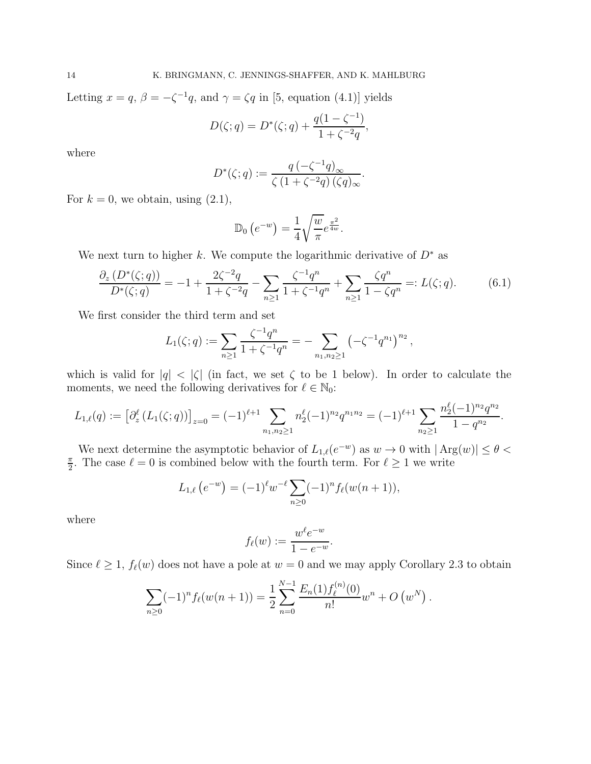Letting  $x = q$ ,  $\beta = -\zeta^{-1}q$ , and  $\gamma = \zeta q$  in [5, equation (4.1)] yields

$$
D(\zeta;q) = D^*(\zeta;q) + \frac{q(1-\zeta^{-1})}{1+\zeta^{-2}q},
$$

where

$$
D^*(\zeta;q) := \frac{q\left(-\zeta^{-1}q\right)_{\infty}}{\zeta\left(1+\zeta^{-2}q\right)(\zeta q)_{\infty}}.
$$

For  $k = 0$ , we obtain, using  $(2.1)$ ,

$$
\mathbb{D}_0\left(e^{-w}\right) = \frac{1}{4} \sqrt{\frac{w}{\pi}} e^{\frac{\pi^2}{4w}}.
$$

We next turn to higher k. We compute the logarithmic derivative of  $D^*$  as

$$
\frac{\partial_z \left( D^*(\zeta;q) \right)}{D^*(\zeta;q)} = -1 + \frac{2\zeta^{-2}q}{1 + \zeta^{-2}q} - \sum_{n \ge 1} \frac{\zeta^{-1}q^n}{1 + \zeta^{-1}q^n} + \sum_{n \ge 1} \frac{\zeta q^n}{1 - \zeta q^n} =: L(\zeta;q). \tag{6.1}
$$

We first consider the third term and set

$$
L_1(\zeta;q) := \sum_{n\geq 1} \frac{\zeta^{-1}q^n}{1+\zeta^{-1}q^n} = -\sum_{n_1,n_2\geq 1} \left(-\zeta^{-1}q^{n_1}\right)^{n_2},
$$

which is valid for  $|q| < |\zeta|$  (in fact, we set  $\zeta$  to be 1 below). In order to calculate the moments, we need the following derivatives for  $\ell \in \mathbb{N}_0$ :

$$
L_{1,\ell}(q) := \left[\partial_z^{\ell} \left(L_1(\zeta;q)\right)\right]_{z=0} = (-1)^{\ell+1} \sum_{n_1,n_2 \geq 1} n_2^{\ell} (-1)^{n_2} q^{n_1 n_2} = (-1)^{\ell+1} \sum_{n_2 \geq 1} \frac{n_2^{\ell} (-1)^{n_2} q^{n_2}}{1-q^{n_2}}.
$$

We next determine the asymptotic behavior of  $L_{1,\ell}(e^{-w})$  as  $w \to 0$  with  $|\operatorname{Arg}(w)| \leq \theta <$ π  $\frac{\pi}{2}$ . The case  $\ell = 0$  is combined below with the fourth term. For  $\ell \geq 1$  we write

$$
L_{1,\ell}(e^{-w}) = (-1)^{\ell} w^{-\ell} \sum_{n \geq 0} (-1)^n f_{\ell}(w(n+1)),
$$

where

$$
f_{\ell}(w) := \frac{w^{\ell}e^{-w}}{1 - e^{-w}}.
$$

Since  $\ell \geq 1$ ,  $f_{\ell}(w)$  does not have a pole at  $w = 0$  and we may apply Corollary 2.3 to obtain

$$
\sum_{n\geq 0} (-1)^n f_\ell(w(n+1)) = \frac{1}{2} \sum_{n=0}^{N-1} \frac{E_n(1) f_\ell^{(n)}(0)}{n!} w^n + O(w^N).
$$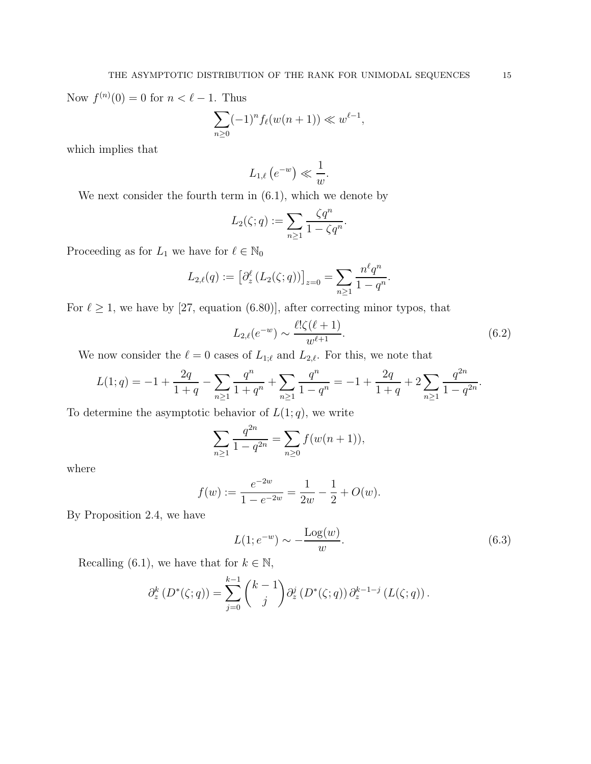Now  $f^{(n)}(0) = 0$  for  $n < \ell - 1$ . Thus

$$
\sum_{n\geq 0} (-1)^n f_\ell(w(n+1)) \ll w^{\ell-1},
$$

which implies that

$$
L_{1,\ell}\left(e^{-w}\right)\ll \frac{1}{w}.
$$

We next consider the fourth term in (6.1), which we denote by

$$
L_2(\zeta;q) := \sum_{n\geq 1} \frac{\zeta q^n}{1 - \zeta q^n}.
$$

Proceeding as for  $L_1$  we have for  $\ell \in \mathbb{N}_0$ 

$$
L_{2,\ell}(q) := \left[\partial_z^{\ell} (L_2(\zeta; q))\right]_{z=0} = \sum_{n \geq 1} \frac{n^{\ell} q^n}{1 - q^n}.
$$

For  $\ell \geq 1$ , we have by [27, equation (6.80)], after correcting minor typos, that

$$
L_{2,\ell}(e^{-w}) \sim \frac{\ell! \zeta(\ell+1)}{w^{\ell+1}}.\tag{6.2}
$$

We now consider the  $\ell = 0$  cases of  $L_{1;\ell}$  and  $L_{2,\ell}$ . For this, we note that

$$
L(1;q) = -1 + \frac{2q}{1+q} - \sum_{n\geq 1} \frac{q^n}{1+q^n} + \sum_{n\geq 1} \frac{q^n}{1-q^n} = -1 + \frac{2q}{1+q} + 2 \sum_{n\geq 1} \frac{q^{2n}}{1-q^{2n}}.
$$

To determine the asymptotic behavior of  $L(1; q)$ , we write

$$
\sum_{n\geq 1} \frac{q^{2n}}{1-q^{2n}} = \sum_{n\geq 0} f(w(n+1)),
$$

where

$$
f(w) := \frac{e^{-2w}}{1 - e^{-2w}} = \frac{1}{2w} - \frac{1}{2} + O(w).
$$

By Proposition 2.4, we have

$$
L(1; e^{-w}) \sim -\frac{\text{Log}(w)}{w}.\tag{6.3}
$$

Recalling (6.1), we have that for  $k \in \mathbb{N}$ ,

$$
\partial_z^k (D^*(\zeta;q)) = \sum_{j=0}^{k-1} {k-1 \choose j} \partial_z^j (D^*(\zeta;q)) \partial_z^{k-1-j} (L(\zeta;q)).
$$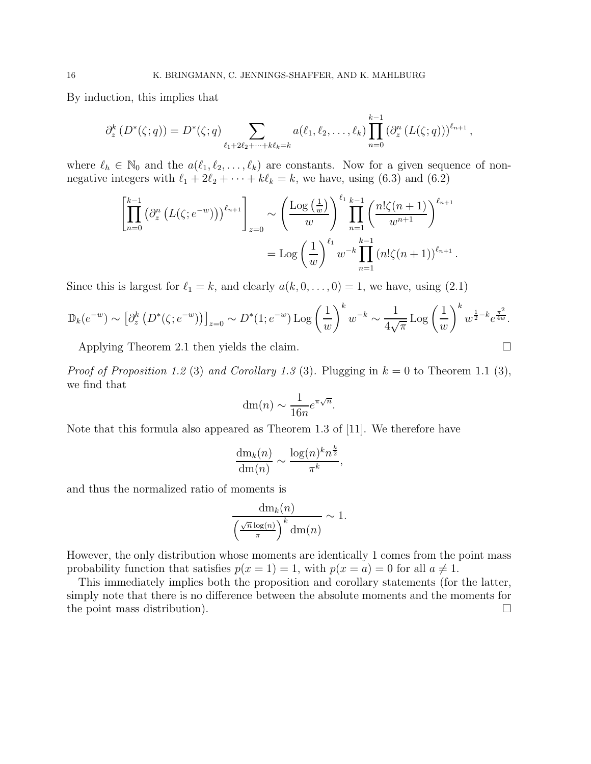By induction, this implies that

$$
\partial_z^k(D^*(\zeta;q)) = D^*(\zeta;q) \sum_{\ell_1+2\ell_2+\cdots+k\ell_k=k} a(\ell_1,\ell_2,\ldots,\ell_k) \prod_{n=0}^{k-1} (\partial_z^n(L(\zeta;q)))^{\ell_{n+1}},
$$

where  $\ell_h \in \mathbb{N}_0$  and the  $a(\ell_1, \ell_2, \ldots, \ell_k)$  are constants. Now for a given sequence of nonnegative integers with  $\ell_1 + 2\ell_2 + \cdots + k\ell_k = k$ , we have, using (6.3) and (6.2)

$$
\left[\prod_{n=0}^{k-1} (\partial_z^n (L(\zeta; e^{-w})))^{\ell_{n+1}}\right]_{z=0} \sim \left(\frac{\text{Log}(\frac{1}{w})}{w}\right)^{\ell_1} \prod_{n=1}^{k-1} \left(\frac{n! \zeta(n+1)}{w^{n+1}}\right)^{\ell_{n+1}}
$$

$$
= \text{Log} \left(\frac{1}{w}\right)^{\ell_1} w^{-k} \prod_{n=1}^{k-1} (n! \zeta(n+1))^{\ell_{n+1}}
$$

.

Since this is largest for  $\ell_1 = k$ , and clearly  $a(k, 0, \ldots, 0) = 1$ , we have, using (2.1)

$$
\mathbb{D}_k(e^{-w}) \sim \left[\partial_z^k \left(D^*(\zeta; e^{-w})\right)\right]_{z=0} \sim D^*(1; e^{-w}) \log\left(\frac{1}{w}\right)^k w^{-k} \sim \frac{1}{4\sqrt{\pi}} \log\left(\frac{1}{w}\right)^k w^{\frac{1}{2}-k} e^{\frac{\pi^2}{4w}}.
$$

Applying Theorem 2.1 then yields the claim.

*Proof of Proposition 1.2 (3) and Corollary 1.3 (3).* Plugging in  $k = 0$  to Theorem 1.1 (3), we find that

$$
\mathrm{dm}(n) \sim \frac{1}{16n} e^{\pi\sqrt{n}}.
$$

Note that this formula also appeared as Theorem 1.3 of [11]. We therefore have

$$
\frac{\mathrm{dm}_k(n)}{\mathrm{dm}(n)} \sim \frac{\log(n)^k n^{\frac{k}{2}}}{\pi^k},
$$

and thus the normalized ratio of moments is

$$
\frac{\mathrm{dm}_k(n)}{\left(\frac{\sqrt{n}\log(n)}{\pi}\right)^k \mathrm{dm}(n)} \sim 1.
$$

However, the only distribution whose moments are identically 1 comes from the point mass probability function that satisfies  $p(x = 1) = 1$ , with  $p(x = a) = 0$  for all  $a \neq 1$ .

This immediately implies both the proposition and corollary statements (for the latter, simply note that there is no difference between the absolute moments and the moments for the point mass distribution).  $\Box$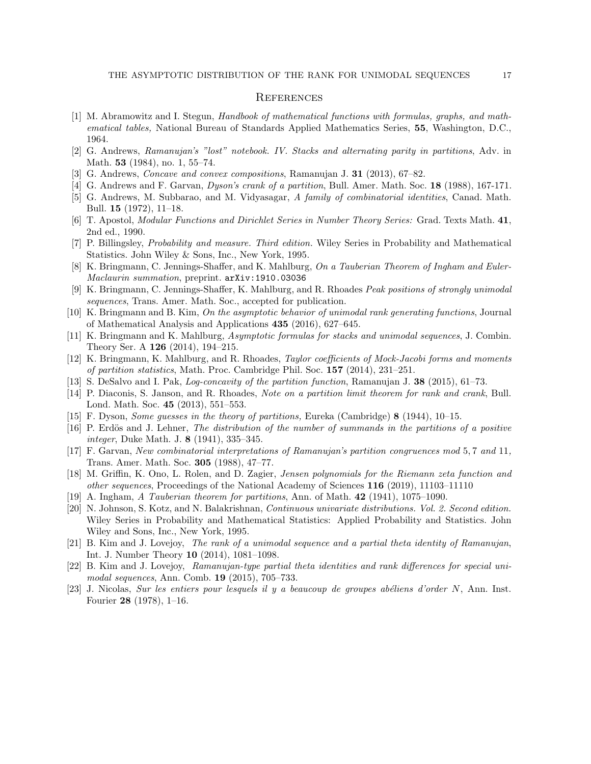#### **REFERENCES**

- [1] M. Abramowitz and I. Stegun, Handbook of mathematical functions with formulas, graphs, and mathematical tables, National Bureau of Standards Applied Mathematics Series, 55, Washington, D.C., 1964.
- [2] G. Andrews, Ramanujan's "lost" notebook. IV. Stacks and alternating parity in partitions, Adv. in Math. **53** (1984), no. 1, 55–74.
- [3] G. Andrews, Concave and convex compositions, Ramanujan J. 31 (2013), 67–82.
- [4] G. Andrews and F. Garvan, Dyson's crank of a partition, Bull. Amer. Math. Soc. 18 (1988), 167-171.
- [5] G. Andrews, M. Subbarao, and M. Vidyasagar, A family of combinatorial identities, Canad. Math. Bull. 15 (1972), 11–18.
- [6] T. Apostol, Modular Functions and Dirichlet Series in Number Theory Series: Grad. Texts Math. 41, 2nd ed., 1990.
- [7] P. Billingsley, Probability and measure. Third edition. Wiley Series in Probability and Mathematical Statistics. John Wiley & Sons, Inc., New York, 1995.
- [8] K. Bringmann, C. Jennings-Shaffer, and K. Mahlburg, On a Tauberian Theorem of Ingham and Euler-Maclaurin summation, preprint. arXiv:1910.03036
- [9] K. Bringmann, C. Jennings-Shaffer, K. Mahlburg, and R. Rhoades Peak positions of strongly unimodal sequences, Trans. Amer. Math. Soc., accepted for publication.
- [10] K. Bringmann and B. Kim, On the asymptotic behavior of unimodal rank generating functions, Journal of Mathematical Analysis and Applications 435 (2016), 627–645.
- [11] K. Bringmann and K. Mahlburg, Asymptotic formulas for stacks and unimodal sequences, J. Combin. Theory Ser. A 126 (2014), 194–215.
- [12] K. Bringmann, K. Mahlburg, and R. Rhoades, Taylor coefficients of Mock-Jacobi forms and moments of partition statistics, Math. Proc. Cambridge Phil. Soc. 157 (2014), 231–251.
- [13] S. DeSalvo and I. Pak, *Log-concavity of the partition function*, Ramanujan J. 38 (2015), 61–73.
- [14] P. Diaconis, S. Janson, and R. Rhoades, Note on a partition limit theorem for rank and crank, Bull. Lond. Math. Soc. 45 (2013), 551–553.
- [15] F. Dyson, Some guesses in the theory of partitions, Eureka (Cambridge) 8 (1944), 10–15.
- [16] P. Erdös and J. Lehner, The distribution of the number of summands in the partitions of a positive integer, Duke Math. J. 8 (1941), 335–345.
- [17] F. Garvan, New combinatorial interpretations of Ramanujan's partition congruences mod 5, 7 and 11, Trans. Amer. Math. Soc. 305 (1988), 47–77.
- [18] M. Griffin, K. Ono, L. Rolen, and D. Zagier, Jensen polynomials for the Riemann zeta function and other sequences, Proceedings of the National Academy of Sciences 116 (2019), 11103–11110
- [19] A. Ingham, A Tauberian theorem for partitions, Ann. of Math. 42 (1941), 1075–1090.
- [20] N. Johnson, S. Kotz, and N. Balakrishnan, Continuous univariate distributions. Vol. 2. Second edition. Wiley Series in Probability and Mathematical Statistics: Applied Probability and Statistics. John Wiley and Sons, Inc., New York, 1995.
- [21] B. Kim and J. Lovejoy, The rank of a unimodal sequence and a partial theta identity of Ramanujan, Int. J. Number Theory 10 (2014), 1081–1098.
- [22] B. Kim and J. Lovejoy, Ramanujan-type partial theta identities and rank differences for special unimodal sequences, Ann. Comb. 19 (2015), 705–733.
- $[23]$  J. Nicolas, Sur les entiers pour lesquels il y a beaucoup de groupes abéliens d'order N, Ann. Inst. Fourier 28 (1978), 1–16.